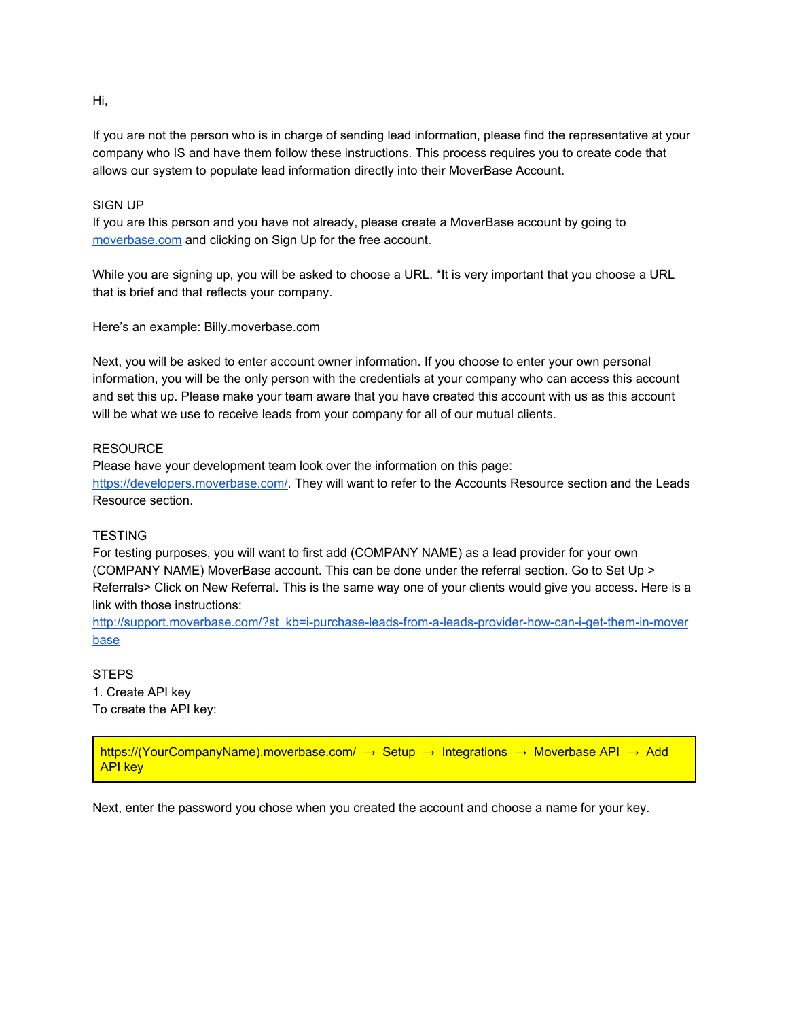# Hi,

If you are not the person who is in charge of sending lead information, please find the representative at your company who IS and have them follow these instructions. This process requires you to create code that allows our system to populate lead information directly into their MoverBase Account.

## SIGN UP

If you are this person and you have not already, please create a MoverBase account by going to [moverbase.com](http://www.moverbase.com/) and clicking on Sign Up for the free account.

While you are signing up, you will be asked to choose a URL. \*It is very important that you choose a URL that is brief and that reflects your company.

Here's an example: Billy.moverbase.com

Next, you will be asked to enter account owner information. If you choose to enter your own personal information, you will be the only person with the credentials at your company who can access this account and set this up. Please make your team aware that you have created this account with us as this account will be what we use to receive leads from your company for all of our mutual clients.

### **RESOURCE**

Please have your development team look over the information on this page: [https://developers.moverbase.com/.](https://developers.moverbase.com/#page-header) They will want to refer to the Accounts Resource section and the Leads Resource section.

#### **TESTING**

For testing purposes, you will want to first add (COMPANY NAME) as a lead provider for your own (COMPANY NAME) MoverBase account. This can be done under the referral section. Go to Set Up > Referrals> Click on New Referral. This is the same way one of your clients would give you access. Here is a link with those instructions:

http://support.moverbase.com/?st\_kb=i-purchase-leads-from-a-leads-provider-how-can-i-get-them-in-mover [base](http://support.moverbase.com/?st_kb=i-purchase-leads-from-a-leads-provider-how-can-i-get-them-in-moverbase)

**STEPS** 1. Create API key To create the API key:

https://(YourCompanyName).moverbase.com/  $\rightarrow$  Setup  $\rightarrow$  Integrations  $\rightarrow$  Moverbase API  $\rightarrow$  Add API key

Next, enter the password you chose when you created the account and choose a name for your key.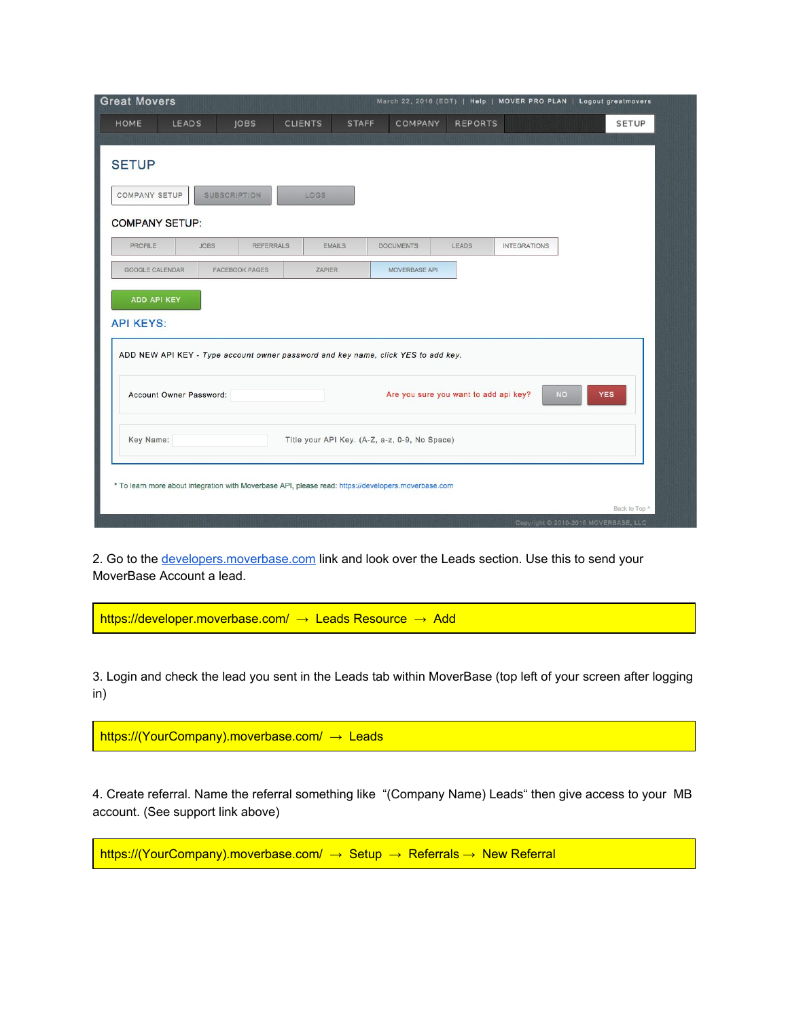| <b>Great Movers</b>                                                               |                     |                       |                |               | March 22, 2016 (EDT)   Help   MOVER PRO PLAN   Logout greatmovers |                                       |                     |           |              |  |
|-----------------------------------------------------------------------------------|---------------------|-----------------------|----------------|---------------|-------------------------------------------------------------------|---------------------------------------|---------------------|-----------|--------------|--|
| <b>HOME</b><br><b>LEADS</b>                                                       |                     | JOBS                  | <b>CLIENTS</b> | <b>STAFF</b>  | COMPANY                                                           | <b>REPORTS</b>                        |                     |           | <b>SETUP</b> |  |
| <b>SETUP</b>                                                                      |                     |                       |                |               |                                                                   |                                       |                     |           |              |  |
| <b>COMPANY SETUP</b>                                                              | <b>SUBSCRIPTION</b> |                       | <b>LOGS</b>    |               |                                                                   |                                       |                     |           |              |  |
| <b>COMPANY SETUP:</b>                                                             |                     |                       |                |               |                                                                   |                                       |                     |           |              |  |
| <b>PROFILE</b>                                                                    | <b>JOBS</b>         | <b>REFERRALS</b>      |                | <b>EMAILS</b> | <b>DOCUMENTS</b>                                                  | LEADS                                 | <b>INTEGRATIONS</b> |           |              |  |
| <b>GOOGLE CALENDAR</b>                                                            |                     | <b>FACEBOOK PAGES</b> | ZAPIER         |               | MOVERBASE API                                                     |                                       |                     |           |              |  |
| <b>API KEYS:</b>                                                                  |                     |                       |                |               |                                                                   |                                       |                     |           |              |  |
| ADD NEW API KEY - Type account owner password and key name, click YES to add key. |                     |                       |                |               |                                                                   |                                       |                     |           |              |  |
| Account Owner Password:                                                           |                     |                       |                |               |                                                                   | Are you sure you want to add api key? |                     | <b>NO</b> | <b>YES</b>   |  |

2. Go to the [developers.moverbase.com](https://developers.moverbase.com/) link and look over the Leads section. Use this to send your MoverBase Account a lead.

https://developer.moverbase.com/ → Leads Resource → Add

3. Login and check the lead you sent in the Leads tab within MoverBase (top left of your screen after logging in)

https://(YourCompany).moverbase.com/ → Leads

4. Create referral. Name the referral something like "(Company Name) Leads" then give access to your MB account. (See support link above)

https://(YourCompany).moverbase.com/ → Setup → Referrals → New Referral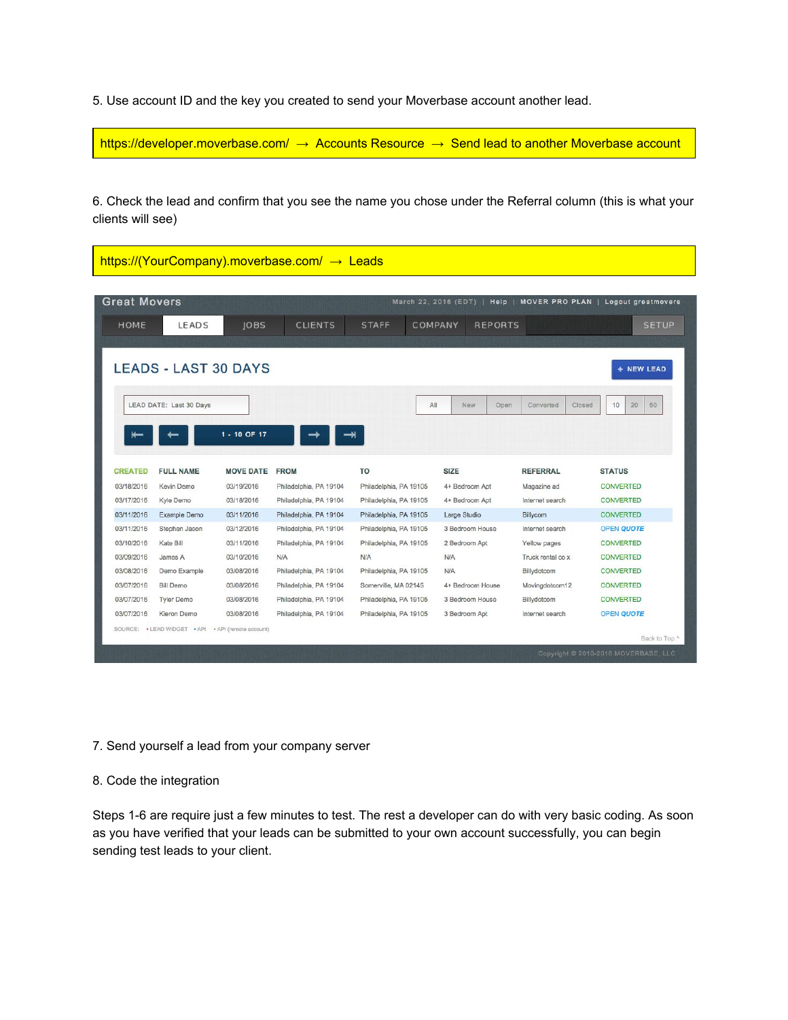5. Use account ID and the key you created to send your Moverbase account another lead.

https://developer.moverbase.com/ → Accounts Resource → Send lead to another Moverbase account

6. Check the lead and confirm that you see the name you chose under the Referral column (this is what your clients will see)

|                | <b>Great Movers</b>         |                  |                        |                        |         | March 22, 2016 (EDT) | MOVER PRO PLAN  <br>Help    | Logout greatmovers |
|----------------|-----------------------------|------------------|------------------------|------------------------|---------|----------------------|-----------------------------|--------------------|
| <b>HOME</b>    | LEADS                       | <b>JOBS</b>      | <b>CLIENTS</b>         | <b>STAFF</b>           | COMPANY |                      | <b>REPORTS</b>              | <b>SETUP</b>       |
|                | <b>LEADS - LAST 30 DAYS</b> |                  |                        |                        |         |                      |                             | + NEW LEAD         |
|                | LEAD DATE: Last 30 Days     |                  |                        |                        | All     | New                  | Open<br>Converted<br>Closed | 20<br>50<br>10     |
|                |                             | 1 - 10 OF 17     |                        |                        |         |                      |                             |                    |
| <b>CREATED</b> | <b>FULL NAME</b>            | <b>MOVE DATE</b> | <b>FROM</b>            | <b>TO</b>              |         | <b>SIZE</b>          | <b>REFERRAL</b>             | <b>STATUS</b>      |
| 03/18/2016     | Kevin Demo                  | 03/19/2016       | Philadelphia, PA 19104 | Philadelphia, PA 19105 |         | 4+ Bedroom Apt       | Magazine ad                 | <b>CONVERTED</b>   |
| 03/17/2016     | Kyle Demo                   | 03/18/2016       | Philadelphia, PA 19104 | Philadelphia, PA 19105 |         | 4+ Bedroom Apt       | Internet search             | <b>CONVERTED</b>   |
| 03/11/2016     | Example Demo                | 03/11/2016       | Philadelphia, PA 19104 | Philadelphia, PA 19105 |         | Large Studio         | <b>Billycom</b>             | <b>CONVERTED</b>   |
| 03/11/2016     | Stephen Jason               | 03/12/2016       | Philadelphia, PA 19104 | Philadelphia, PA 19105 |         | 3 Bedroom House      | Internet search             | <b>OPEN QUOTE</b>  |
| 03/10/2016     | Kate Bill                   | 03/11/2016       | Philadelphia, PA 19104 | Philadelphia, PA 19105 |         | 2 Bedroom Apt        | Yellow pages                | <b>CONVERTED</b>   |
| 03/09/2016     | James A                     | 03/10/2016       | N/A                    | <b>N/A</b>             |         | N/A                  | Truck rental co x           | <b>CONVERTED</b>   |
| 03/08/2016     | Demo Example                | 03/08/2016       | Philadelphia, PA 19104 | Philadelphia, PA 19105 |         | <b>N/A</b>           | Billydotcom                 | <b>CONVERTED</b>   |
| 03/07/2016     | <b>Bill Demo</b>            | 03/08/2016       | Philadelphia, PA 19104 | Somerville, MA 02145   |         | 4+ Bedroom House     | Movingdotcom12              | <b>CONVERTED</b>   |
| 03/07/2016     | <b>Tyler Demo</b>           | 03/08/2016       | Philadelphia, PA 19104 | Philadelphia, PA 19105 |         | 3 Bedroom House      | Billydotcom                 | <b>CONVERTED</b>   |
| 03/07/2016     | Kieron Demo                 | 03/08/2016       | Philadelphia, PA 19104 | Philadelphia, PA 19105 |         | 3 Bedroom Apt        | Internet search             | OPEN QUOTE         |

7. Send yourself a lead from your company server

## 8. Code the integration

Steps 1-6 are require just a few minutes to test. The rest a developer can do with very basic coding. As soon as you have verified that your leads can be submitted to your own account successfully, you can begin sending test leads to your client.